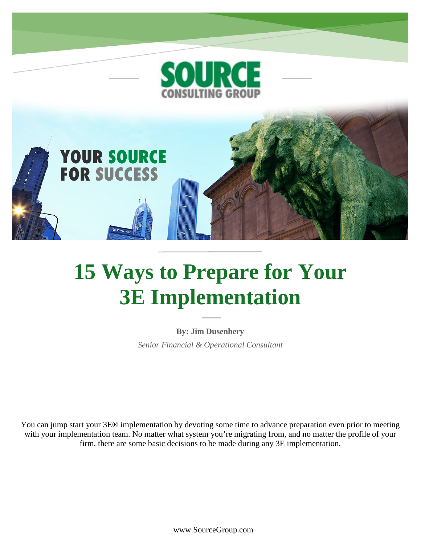

## **15 Ways to Prepare for Your 3E Implementation**

**By: Jim Dusenbery** *Senior Financial & Operational Consultant*

You can jump start your 3E® implementation by devoting some time to advance preparation even prior to meeting with your implementation team. No matter what system you're migrating from, and no matter the profile of your firm, there are some basic decisions to be made during any 3E implementation.

www.SourceGroup.com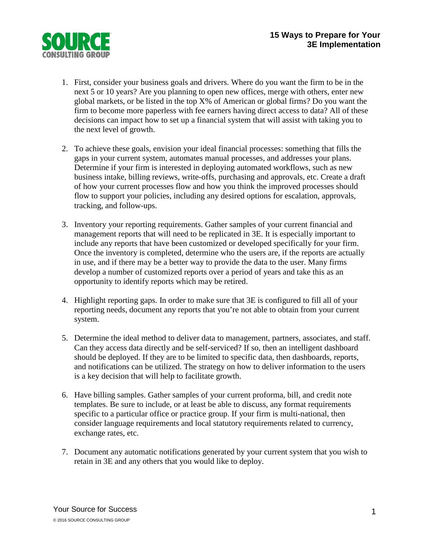- 1. First, consider your business goals and drivers. Where do you want the firm to be in the next 5 or 10 years? Are you planning to open new offices, merge with others, enter new global markets, or be listed in the top X% of American or global firms? Do you want the firm to become more paperless with fee earners having direct access to data? All of these decisions can impact how to set up a financial system that will assist with taking you to the next level of growth.
- 2. To achieve these goals, envision your ideal financial processes: something that fills the gaps in your current system, automates manual processes, and addresses your plans. Determine if your firm is interested in deploying automated workflows, such as new business intake, billing reviews, write-offs, purchasing and approvals, etc. Create a draft of how your current processes flow and how you think the improved processes should flow to support your policies, including any desired options for escalation, approvals, tracking, and follow-ups.
- 3. Inventory your reporting requirements. Gather samples of your current financial and management reports that will need to be replicated in 3E. It is especially important to include any reports that have been customized or developed specifically for your firm. Once the inventory is completed, determine who the users are, if the reports are actually in use, and if there may be a better way to provide the data to the user. Many firms develop a number of customized reports over a period of years and take this as an opportunity to identify reports which may be retired.
- 4. Highlight reporting gaps. In order to make sure that 3E is configured to fill all of your reporting needs, document any reports that you're not able to obtain from your current system.
- 5. Determine the ideal method to deliver data to management, partners, associates, and staff. Can they access data directly and be self-serviced? If so, then an intelligent dashboard should be deployed. If they are to be limited to specific data, then dashboards, reports, and notifications can be utilized. The strategy on how to deliver information to the users is a key decision that will help to facilitate growth.
- 6. Have billing samples. Gather samples of your current proforma, bill, and credit note templates. Be sure to include, or at least be able to discuss, any format requirements specific to a particular office or practice group. If your firm is multi-national, then consider language requirements and local statutory requirements related to currency, exchange rates, etc.
- 7. Document any automatic notifications generated by your current system that you wish to retain in 3E and any others that you would like to deploy.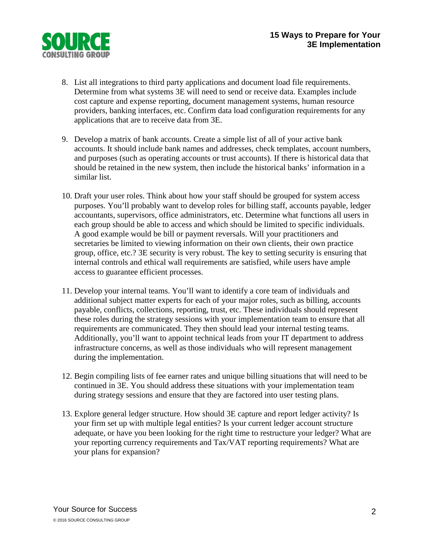

- 8. List all integrations to third party applications and document load file requirements. Determine from what systems 3E will need to send or receive data. Examples include cost capture and expense reporting, document management systems, human resource providers, banking interfaces, etc. Confirm data load configuration requirements for any applications that are to receive data from 3E.
- 9. Develop a matrix of bank accounts. Create a simple list of all of your active bank accounts. It should include bank names and addresses, check templates, account numbers, and purposes (such as operating accounts or trust accounts). If there is historical data that should be retained in the new system, then include the historical banks' information in a similar list.
- 10. Draft your user roles. Think about how your staff should be grouped for system access purposes. You'll probably want to develop roles for billing staff, accounts payable, ledger accountants, supervisors, office administrators, etc. Determine what functions all users in each group should be able to access and which should be limited to specific individuals. A good example would be bill or payment reversals. Will your practitioners and secretaries be limited to viewing information on their own clients, their own practice group, office, etc.? 3E security is very robust. The key to setting security is ensuring that internal controls and ethical wall requirements are satisfied, while users have ample access to guarantee efficient processes.
- 11. Develop your internal teams. You'll want to identify a core team of individuals and additional subject matter experts for each of your major roles, such as billing, accounts payable, conflicts, collections, reporting, trust, etc. These individuals should represent these roles during the strategy sessions with your implementation team to ensure that all requirements are communicated. They then should lead your internal testing teams. Additionally, you'll want to appoint technical leads from your IT department to address infrastructure concerns, as well as those individuals who will represent management during the implementation.
- 12. Begin compiling lists of fee earner rates and unique billing situations that will need to be continued in 3E. You should address these situations with your implementation team during strategy sessions and ensure that they are factored into user testing plans.
- 13. Explore general ledger structure. How should 3E capture and report ledger activity? Is your firm set up with multiple legal entities? Is your current ledger account structure adequate, or have you been looking for the right time to restructure your ledger? What are your reporting currency requirements and Tax/VAT reporting requirements? What are your plans for expansion?